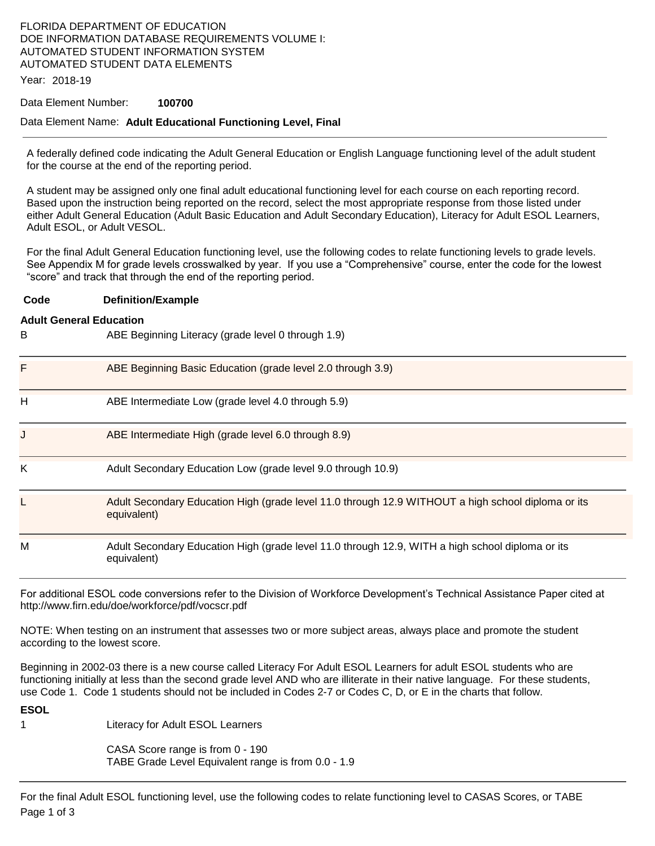## FLORIDA DEPARTMENT OF EDUCATION DOE INFORMATION DATABASE REQUIREMENTS VOLUME I: AUTOMATED STUDENT INFORMATION SYSTEM AUTOMATED STUDENT DATA ELEMENTS

Year: 2018-19

#### Data Element Number: **100700**

### Data Element Name: **Adult Educational Functioning Level, Final**

A federally defined code indicating the Adult General Education or English Language functioning level of the adult student for the course at the end of the reporting period.

A student may be assigned only one final adult educational functioning level for each course on each reporting record. Based upon the instruction being reported on the record, select the most appropriate response from those listed under either Adult General Education (Adult Basic Education and Adult Secondary Education), Literacy for Adult ESOL Learners, Adult ESOL, or Adult VESOL.

For the final Adult General Education functioning level, use the following codes to relate functioning levels to grade levels. See Appendix M for grade levels crosswalked by year. If you use a "Comprehensive" course, enter the code for the lowest "score" and track that through the end of the reporting period.

#### **Code Definition/Example**

#### **Adult General Education**

B ABE Beginning Literacy (grade level 0 through 1.9)

| F | ABE Beginning Basic Education (grade level 2.0 through 3.9)                                                       |
|---|-------------------------------------------------------------------------------------------------------------------|
| н | ABE Intermediate Low (grade level 4.0 through 5.9)                                                                |
| J | ABE Intermediate High (grade level 6.0 through 8.9)                                                               |
| Κ | Adult Secondary Education Low (grade level 9.0 through 10.9)                                                      |
|   | Adult Secondary Education High (grade level 11.0 through 12.9 WITHOUT a high school diploma or its<br>equivalent) |
| M | Adult Secondary Education High (grade level 11.0 through 12.9, WITH a high school diploma or its<br>equivalent)   |

For additional ESOL code conversions refer to the Division of Workforce Development's Technical Assistance Paper cited at http://www.firn.edu/doe/workforce/pdf/vocscr.pdf

NOTE: When testing on an instrument that assesses two or more subject areas, always place and promote the student according to the lowest score.

Beginning in 2002-03 there is a new course called Literacy For Adult ESOL Learners for adult ESOL students who are functioning initially at less than the second grade level AND who are illiterate in their native language. For these students, use Code 1. Code 1 students should not be included in Codes 2-7 or Codes C, D, or E in the charts that follow.

**ESOL** 

1 Literacy for Adult ESOL Learners

CASA Score range is from 0 - 190 TABE Grade Level Equivalent range is from 0.0 - 1.9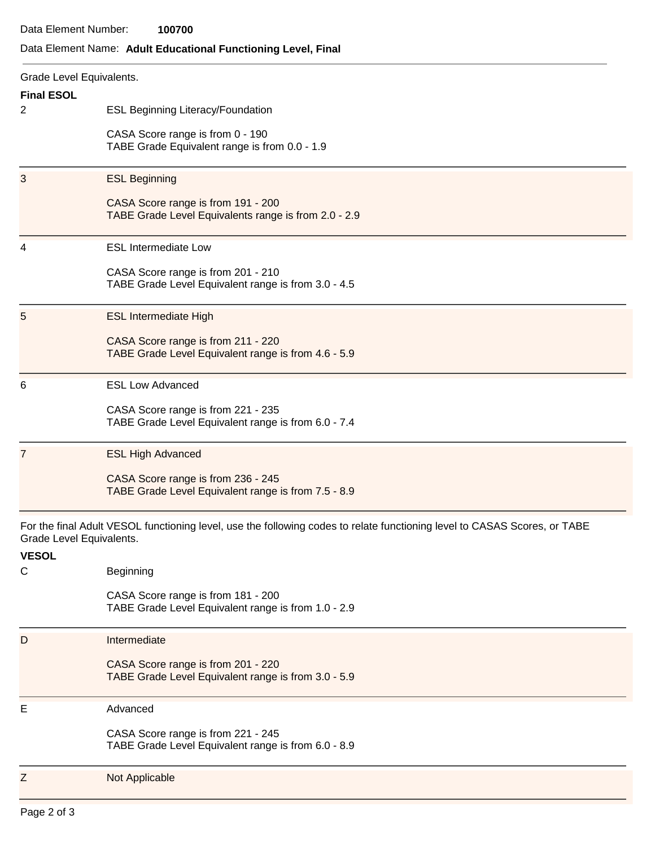# Data Element Name: **Adult Educational Functioning Level, Final**

| Grade Level Equivalents.                                                                                                                              |                                                                                            |  |
|-------------------------------------------------------------------------------------------------------------------------------------------------------|--------------------------------------------------------------------------------------------|--|
| <b>Final ESOL</b>                                                                                                                                     |                                                                                            |  |
| 2                                                                                                                                                     | <b>ESL Beginning Literacy/Foundation</b>                                                   |  |
|                                                                                                                                                       | CASA Score range is from 0 - 190                                                           |  |
|                                                                                                                                                       | TABE Grade Equivalent range is from 0.0 - 1.9                                              |  |
| 3                                                                                                                                                     | <b>ESL Beginning</b>                                                                       |  |
|                                                                                                                                                       | CASA Score range is from 191 - 200<br>TABE Grade Level Equivalents range is from 2.0 - 2.9 |  |
| 4                                                                                                                                                     | <b>ESL Intermediate Low</b>                                                                |  |
|                                                                                                                                                       | CASA Score range is from 201 - 210<br>TABE Grade Level Equivalent range is from 3.0 - 4.5  |  |
| 5                                                                                                                                                     | <b>ESL Intermediate High</b>                                                               |  |
|                                                                                                                                                       | CASA Score range is from 211 - 220<br>TABE Grade Level Equivalent range is from 4.6 - 5.9  |  |
| 6                                                                                                                                                     | <b>ESL Low Advanced</b>                                                                    |  |
|                                                                                                                                                       | CASA Score range is from 221 - 235<br>TABE Grade Level Equivalent range is from 6.0 - 7.4  |  |
| 7                                                                                                                                                     | <b>ESL High Advanced</b>                                                                   |  |
|                                                                                                                                                       | CASA Score range is from 236 - 245<br>TABE Grade Level Equivalent range is from 7.5 - 8.9  |  |
| For the final Adult VESOL functioning level, use the following codes to relate functioning level to CASAS Scores, or TABE<br>Grade Level Equivalents. |                                                                                            |  |
| <b>VESOL</b>                                                                                                                                          |                                                                                            |  |
| C                                                                                                                                                     | Beginning                                                                                  |  |
|                                                                                                                                                       | CASA Score range is from 181 - 200<br>TABE Grade Level Equivalent range is from 1.0 - 2.9  |  |
| D                                                                                                                                                     | Intermediate                                                                               |  |
|                                                                                                                                                       | CASA Score range is from 201 - 220<br>TABE Grade Level Equivalent range is from 3.0 - 5.9  |  |
| Ε                                                                                                                                                     | Advanced                                                                                   |  |
|                                                                                                                                                       | CASA Score range is from 221 - 245<br>TABE Grade Level Equivalent range is from 6.0 - 8.9  |  |
| Z                                                                                                                                                     | Not Applicable                                                                             |  |